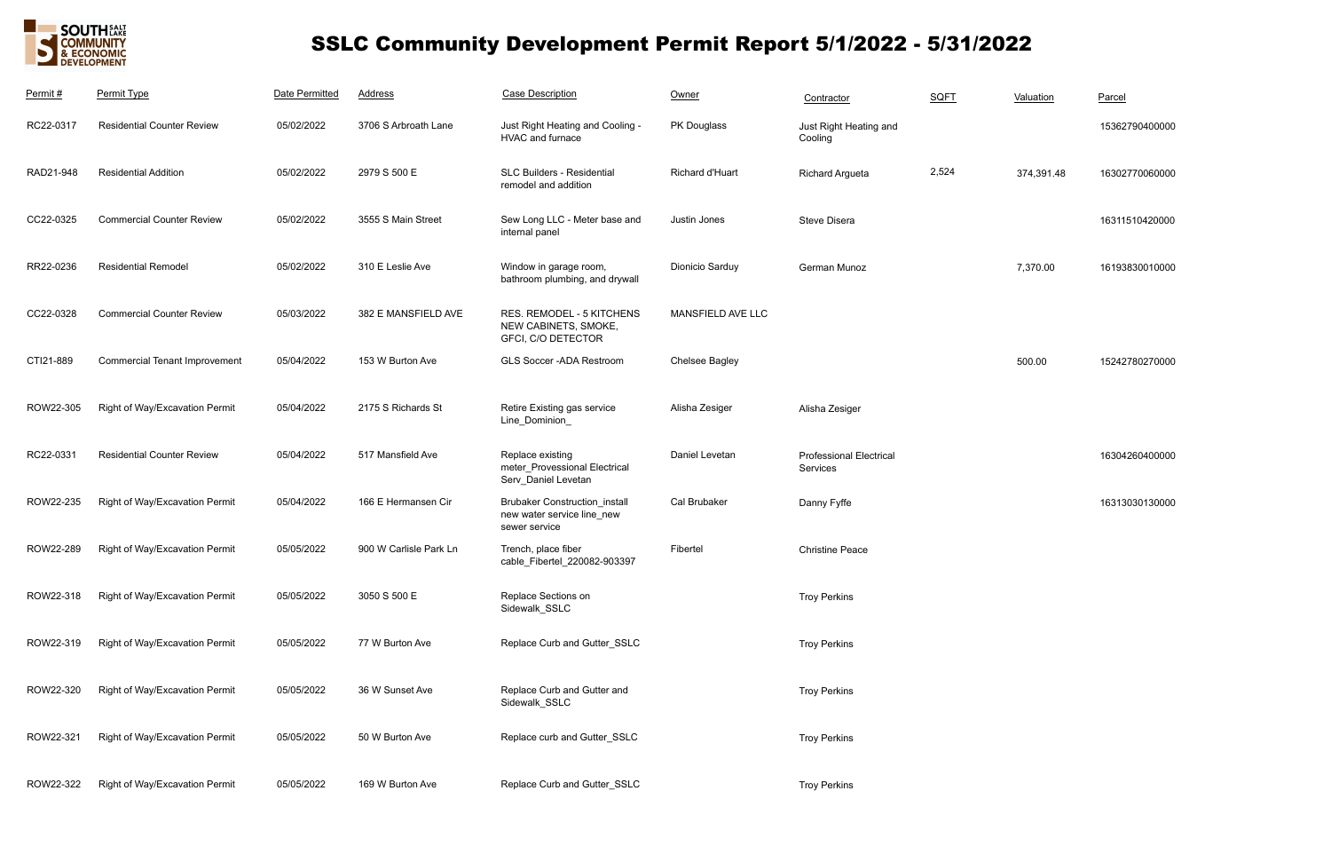

# SSLC Community Development Permit Report 5/1/2022 - 5/31/2022

| Permit #  | Permit Type                          | Date Permitted | <b>Address</b>         | <b>Case Description</b>                                                             | Owner             | Contractor                                 | <b>SQFT</b> | Valuation  | Parcel         |
|-----------|--------------------------------------|----------------|------------------------|-------------------------------------------------------------------------------------|-------------------|--------------------------------------------|-------------|------------|----------------|
| RC22-0317 | <b>Residential Counter Review</b>    | 05/02/2022     | 3706 S Arbroath Lane   | Just Right Heating and Cooling -<br>HVAC and furnace                                | PK Douglass       | Just Right Heating and<br>Cooling          |             |            | 15362790400000 |
| RAD21-948 | <b>Residential Addition</b>          | 05/02/2022     | 2979 S 500 E           | SLC Builders - Residential<br>remodel and addition                                  | Richard d'Huart   | <b>Richard Argueta</b>                     | 2,524       | 374,391.48 | 16302770060000 |
| CC22-0325 | <b>Commercial Counter Review</b>     | 05/02/2022     | 3555 S Main Street     | Sew Long LLC - Meter base and<br>internal panel                                     | Justin Jones      | Steve Disera                               |             |            | 16311510420000 |
| RR22-0236 | <b>Residential Remodel</b>           | 05/02/2022     | 310 E Leslie Ave       | Window in garage room,<br>bathroom plumbing, and drywall                            | Dionicio Sarduy   | German Munoz                               |             | 7,370.00   | 16193830010000 |
| CC22-0328 | <b>Commercial Counter Review</b>     | 05/03/2022     | 382 E MANSFIELD AVE    | RES. REMODEL - 5 KITCHENS<br>NEW CABINETS, SMOKE,<br>GFCI, C/O DETECTOR             | MANSFIELD AVE LLC |                                            |             |            |                |
| CTI21-889 | <b>Commercial Tenant Improvement</b> | 05/04/2022     | 153 W Burton Ave       | GLS Soccer - ADA Restroom                                                           | Chelsee Bagley    |                                            |             | 500.00     | 15242780270000 |
| ROW22-305 | Right of Way/Excavation Permit       | 05/04/2022     | 2175 S Richards St     | Retire Existing gas service<br>Line_Dominion_                                       | Alisha Zesiger    | Alisha Zesiger                             |             |            |                |
| RC22-0331 | <b>Residential Counter Review</b>    | 05/04/2022     | 517 Mansfield Ave      | Replace existing<br>meter_Provessional Electrical<br>Serv_Daniel Levetan            | Daniel Levetan    | <b>Professional Electrical</b><br>Services |             |            | 16304260400000 |
| ROW22-235 | Right of Way/Excavation Permit       | 05/04/2022     | 166 E Hermansen Cir    | <b>Brubaker Construction_install</b><br>new water service line_new<br>sewer service | Cal Brubaker      | Danny Fyffe                                |             |            | 16313030130000 |
| ROW22-289 | Right of Way/Excavation Permit       | 05/05/2022     | 900 W Carlisle Park Ln | Trench, place fiber<br>cable_Fibertel_220082-903397                                 | Fibertel          | <b>Christine Peace</b>                     |             |            |                |
| ROW22-318 | Right of Way/Excavation Permit       | 05/05/2022     | 3050 S 500 E           | Replace Sections on<br>Sidewalk_SSLC                                                |                   | <b>Troy Perkins</b>                        |             |            |                |
| ROW22-319 | Right of Way/Excavation Permit       | 05/05/2022     | 77 W Burton Ave        | Replace Curb and Gutter_SSLC                                                        |                   | <b>Troy Perkins</b>                        |             |            |                |
| ROW22-320 | Right of Way/Excavation Permit       | 05/05/2022     | 36 W Sunset Ave        | Replace Curb and Gutter and<br>Sidewalk_SSLC                                        |                   | <b>Troy Perkins</b>                        |             |            |                |
| ROW22-321 | Right of Way/Excavation Permit       | 05/05/2022     | 50 W Burton Ave        | Replace curb and Gutter_SSLC                                                        |                   | <b>Troy Perkins</b>                        |             |            |                |
| ROW22-322 | Right of Way/Excavation Permit       | 05/05/2022     | 169 W Burton Ave       | Replace Curb and Gutter_SSLC                                                        |                   | <b>Troy Perkins</b>                        |             |            |                |

| Valuation  | Parcel         |
|------------|----------------|
|            | 15362790400000 |
| 374,391.48 | 16302770060000 |
|            | 16311510420000 |
| 7 370 OO   | 16193830010000 |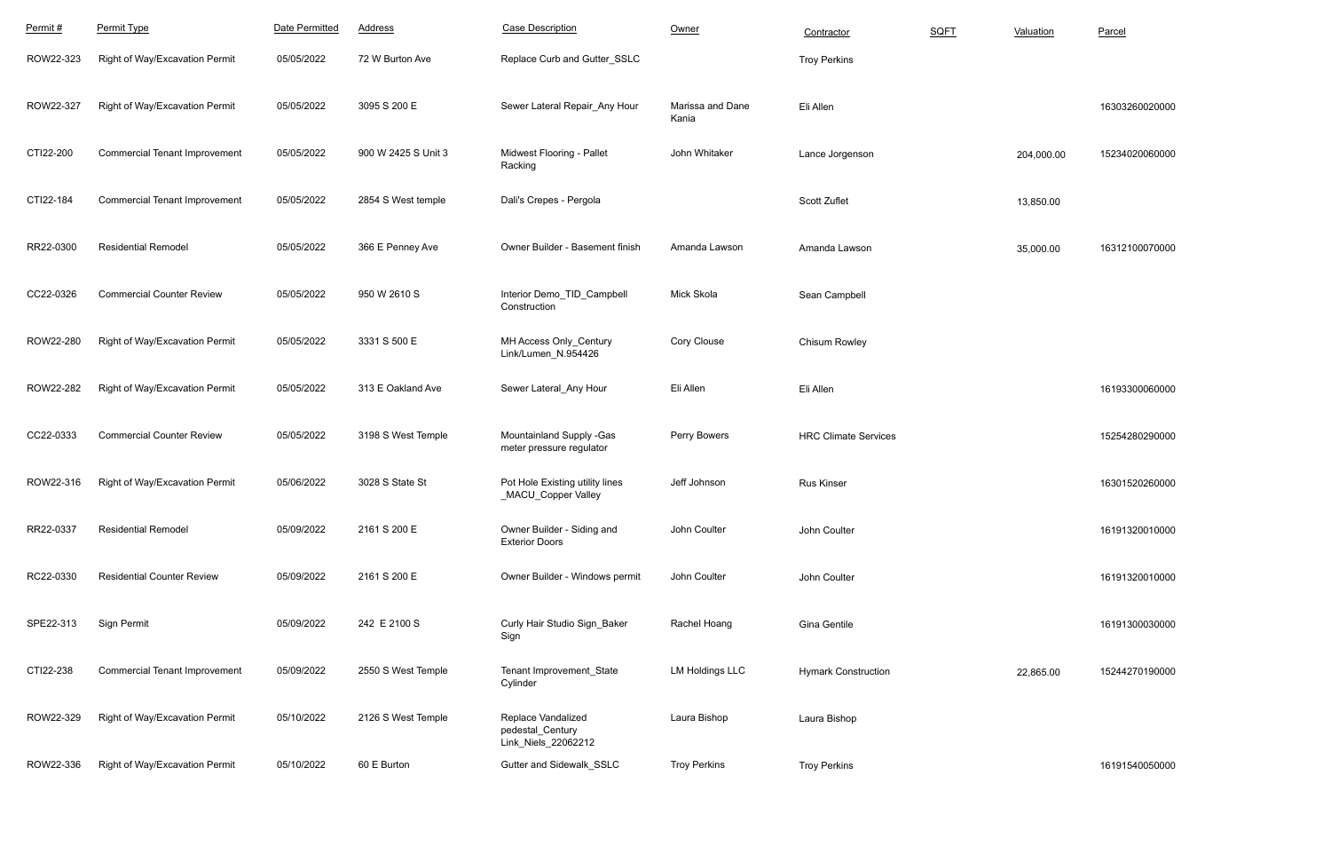| Permit#   | Permit Type                          | Date Permitted | <b>Address</b>      | <b>Case Description</b>                                       | Owner                     | Contractor                  | SQFT | Valuation  | Parcel         |
|-----------|--------------------------------------|----------------|---------------------|---------------------------------------------------------------|---------------------------|-----------------------------|------|------------|----------------|
| ROW22-323 | Right of Way/Excavation Permit       | 05/05/2022     | 72 W Burton Ave     | Replace Curb and Gutter SSLC                                  |                           | <b>Troy Perkins</b>         |      |            |                |
| ROW22-327 | Right of Way/Excavation Permit       | 05/05/2022     | 3095 S 200 E        | Sewer Lateral Repair_Any Hour                                 | Marissa and Dane<br>Kania | Eli Allen                   |      |            | 16303260020000 |
| CTI22-200 | <b>Commercial Tenant Improvement</b> | 05/05/2022     | 900 W 2425 S Unit 3 | Midwest Flooring - Pallet<br>Racking                          | John Whitaker             | Lance Jorgenson             |      | 204,000.00 | 15234020060000 |
| CTI22-184 | <b>Commercial Tenant Improvement</b> | 05/05/2022     | 2854 S West temple  | Dali's Crepes - Pergola                                       |                           | Scott Zuflet                |      | 13,850.00  |                |
| RR22-0300 | <b>Residential Remodel</b>           | 05/05/2022     | 366 E Penney Ave    | Owner Builder - Basement finish                               | Amanda Lawson             | Amanda Lawson               |      | 35,000.00  | 16312100070000 |
| CC22-0326 | <b>Commercial Counter Review</b>     | 05/05/2022     | 950 W 2610 S        | Interior Demo_TID_Campbell<br>Construction                    | Mick Skola                | Sean Campbell               |      |            |                |
| ROW22-280 | Right of Way/Excavation Permit       | 05/05/2022     | 3331 S 500 E        | MH Access Only_Century<br>Link/Lumen_N.954426                 | Cory Clouse               | Chisum Rowley               |      |            |                |
| ROW22-282 | Right of Way/Excavation Permit       | 05/05/2022     | 313 E Oakland Ave   | Sewer Lateral_Any Hour                                        | Eli Allen                 | Eli Allen                   |      |            | 16193300060000 |
| CC22-0333 | <b>Commercial Counter Review</b>     | 05/05/2022     | 3198 S West Temple  | Mountainland Supply -Gas<br>meter pressure regulator          | Perry Bowers              | <b>HRC Climate Services</b> |      |            | 15254280290000 |
| ROW22-316 | Right of Way/Excavation Permit       | 05/06/2022     | 3028 S State St     | Pot Hole Existing utility lines<br>_MACU_Copper Valley        | Jeff Johnson              | <b>Rus Kinser</b>           |      |            | 16301520260000 |
| RR22-0337 | <b>Residential Remodel</b>           | 05/09/2022     | 2161 S 200 E        | Owner Builder - Siding and<br><b>Exterior Doors</b>           | John Coulter              | John Coulter                |      |            | 16191320010000 |
| RC22-0330 | <b>Residential Counter Review</b>    | 05/09/2022     | 2161 S 200 E        | Owner Builder - Windows permit                                | John Coulter              | John Coulter                |      |            | 16191320010000 |
| SPE22-313 | Sign Permit                          | 05/09/2022     | 242 E 2100 S        | Curly Hair Studio Sign_Baker<br>Sign                          | Rachel Hoang              | Gina Gentile                |      |            | 16191300030000 |
| CTI22-238 | <b>Commercial Tenant Improvement</b> | 05/09/2022     | 2550 S West Temple  | Tenant Improvement_State<br>Cylinder                          | <b>LM Holdings LLC</b>    | <b>Hymark Construction</b>  |      | 22,865.00  | 15244270190000 |
| ROW22-329 | Right of Way/Excavation Permit       | 05/10/2022     | 2126 S West Temple  | Replace Vandalized<br>pedestal_Century<br>Link_Niels_22062212 | Laura Bishop              | Laura Bishop                |      |            |                |
| ROW22-336 | Right of Way/Excavation Permit       | 05/10/2022     | 60 E Burton         | Gutter and Sidewalk_SSLC                                      | <b>Troy Perkins</b>       | <b>Troy Perkins</b>         |      |            | 16191540050000 |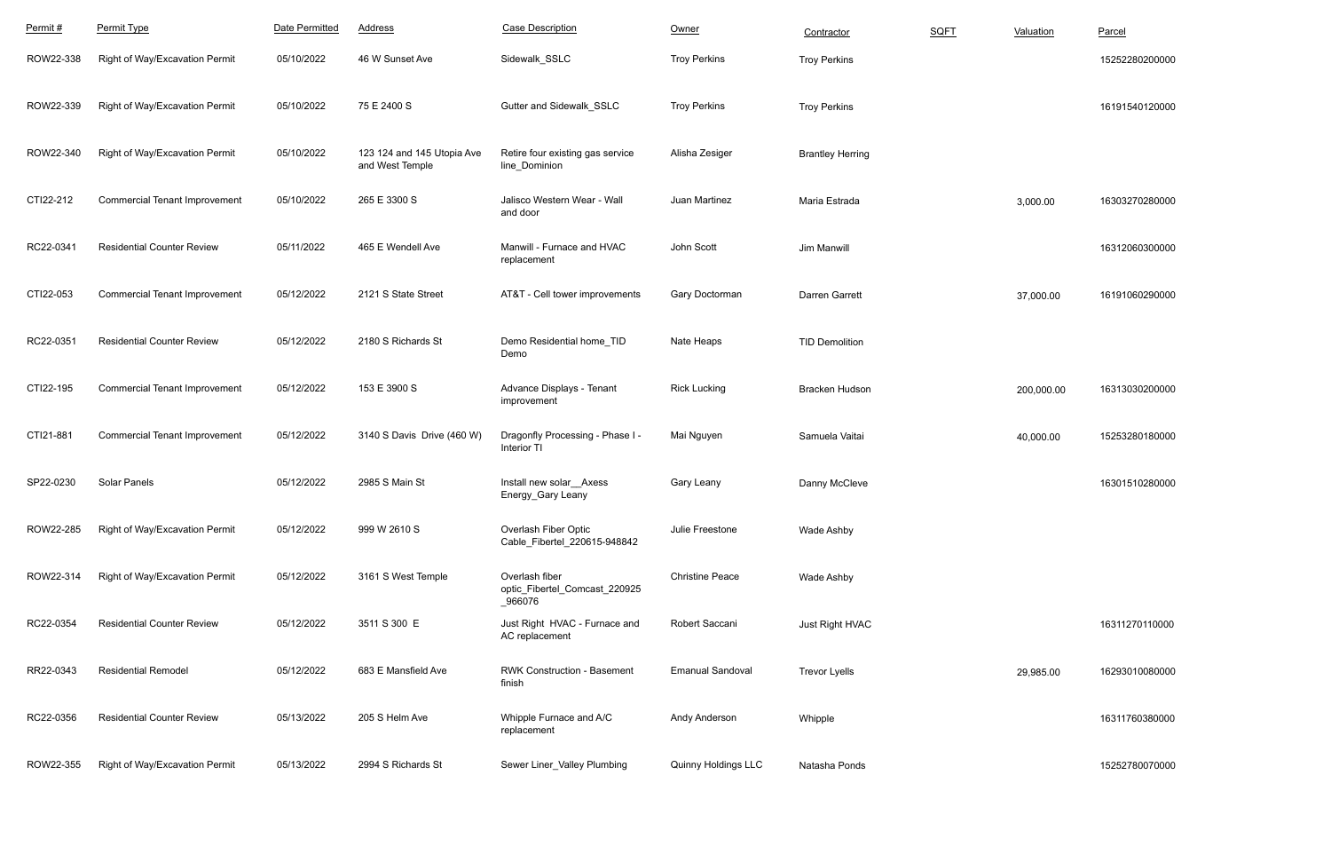| Permit#   | Permit Type                          | Date Permitted | <b>Address</b>                                | <b>Case Description</b>                                    | Owner                   | Contractor              | <b>SQFT</b> | Valuation  | Parcel         |
|-----------|--------------------------------------|----------------|-----------------------------------------------|------------------------------------------------------------|-------------------------|-------------------------|-------------|------------|----------------|
| ROW22-338 | Right of Way/Excavation Permit       | 05/10/2022     | 46 W Sunset Ave                               | Sidewalk SSLC                                              | <b>Troy Perkins</b>     | <b>Troy Perkins</b>     |             |            | 15252280200000 |
| ROW22-339 | Right of Way/Excavation Permit       | 05/10/2022     | 75 E 2400 S                                   | Gutter and Sidewalk_SSLC                                   | <b>Troy Perkins</b>     | <b>Troy Perkins</b>     |             |            | 16191540120000 |
| ROW22-340 | Right of Way/Excavation Permit       | 05/10/2022     | 123 124 and 145 Utopia Ave<br>and West Temple | Retire four existing gas service<br>line_Dominion          | Alisha Zesiger          | <b>Brantley Herring</b> |             |            |                |
| CTI22-212 | <b>Commercial Tenant Improvement</b> | 05/10/2022     | 265 E 3300 S                                  | Jalisco Western Wear - Wall<br>and door                    | Juan Martinez           | Maria Estrada           |             | 3,000.00   | 16303270280000 |
| RC22-0341 | <b>Residential Counter Review</b>    | 05/11/2022     | 465 E Wendell Ave                             | Manwill - Furnace and HVAC<br>replacement                  | John Scott              | Jim Manwill             |             |            | 16312060300000 |
| CTI22-053 | <b>Commercial Tenant Improvement</b> | 05/12/2022     | 2121 S State Street                           | AT&T - Cell tower improvements                             | Gary Doctorman          | Darren Garrett          |             | 37,000.00  | 16191060290000 |
| RC22-0351 | <b>Residential Counter Review</b>    | 05/12/2022     | 2180 S Richards St                            | Demo Residential home_TID<br>Demo                          | Nate Heaps              | <b>TID Demolition</b>   |             |            |                |
| CTI22-195 | <b>Commercial Tenant Improvement</b> | 05/12/2022     | 153 E 3900 S                                  | Advance Displays - Tenant<br>improvement                   | <b>Rick Lucking</b>     | Bracken Hudson          |             | 200,000.00 | 16313030200000 |
| CTI21-881 | <b>Commercial Tenant Improvement</b> | 05/12/2022     | 3140 S Davis Drive (460 W)                    | Dragonfly Processing - Phase I -<br>Interior TI            | Mai Nguyen              | Samuela Vaitai          |             | 40,000.00  | 15253280180000 |
| SP22-0230 | <b>Solar Panels</b>                  | 05/12/2022     | 2985 S Main St                                | Install new solar Axess<br>Energy_Gary Leany               | Gary Leany              | Danny McCleve           |             |            | 16301510280000 |
| ROW22-285 | Right of Way/Excavation Permit       | 05/12/2022     | 999 W 2610 S                                  | Overlash Fiber Optic<br>Cable Fibertel 220615-948842       | Julie Freestone         | Wade Ashby              |             |            |                |
| ROW22-314 | Right of Way/Excavation Permit       | 05/12/2022     | 3161 S West Temple                            | Overlash fiber<br>optic_Fibertel_Comcast_220925<br>_966076 | <b>Christine Peace</b>  | <b>Wade Ashby</b>       |             |            |                |
| RC22-0354 | <b>Residential Counter Review</b>    | 05/12/2022     | 3511 S 300 E                                  | Just Right HVAC - Furnace and<br>AC replacement            | Robert Saccani          | Just Right HVAC         |             |            | 16311270110000 |
| RR22-0343 | <b>Residential Remodel</b>           | 05/12/2022     | 683 E Mansfield Ave                           | <b>RWK Construction - Basement</b><br>finish               | <b>Emanual Sandoval</b> | <b>Trevor Lyells</b>    |             | 29,985.00  | 16293010080000 |
| RC22-0356 | <b>Residential Counter Review</b>    | 05/13/2022     | 205 S Helm Ave                                | Whipple Furnace and A/C<br>replacement                     | Andy Anderson           | Whipple                 |             |            | 16311760380000 |
| ROW22-355 | Right of Way/Excavation Permit       | 05/13/2022     | 2994 S Richards St                            | Sewer Liner_Valley Plumbing                                | Quinny Holdings LLC     | Natasha Ponds           |             |            | 15252780070000 |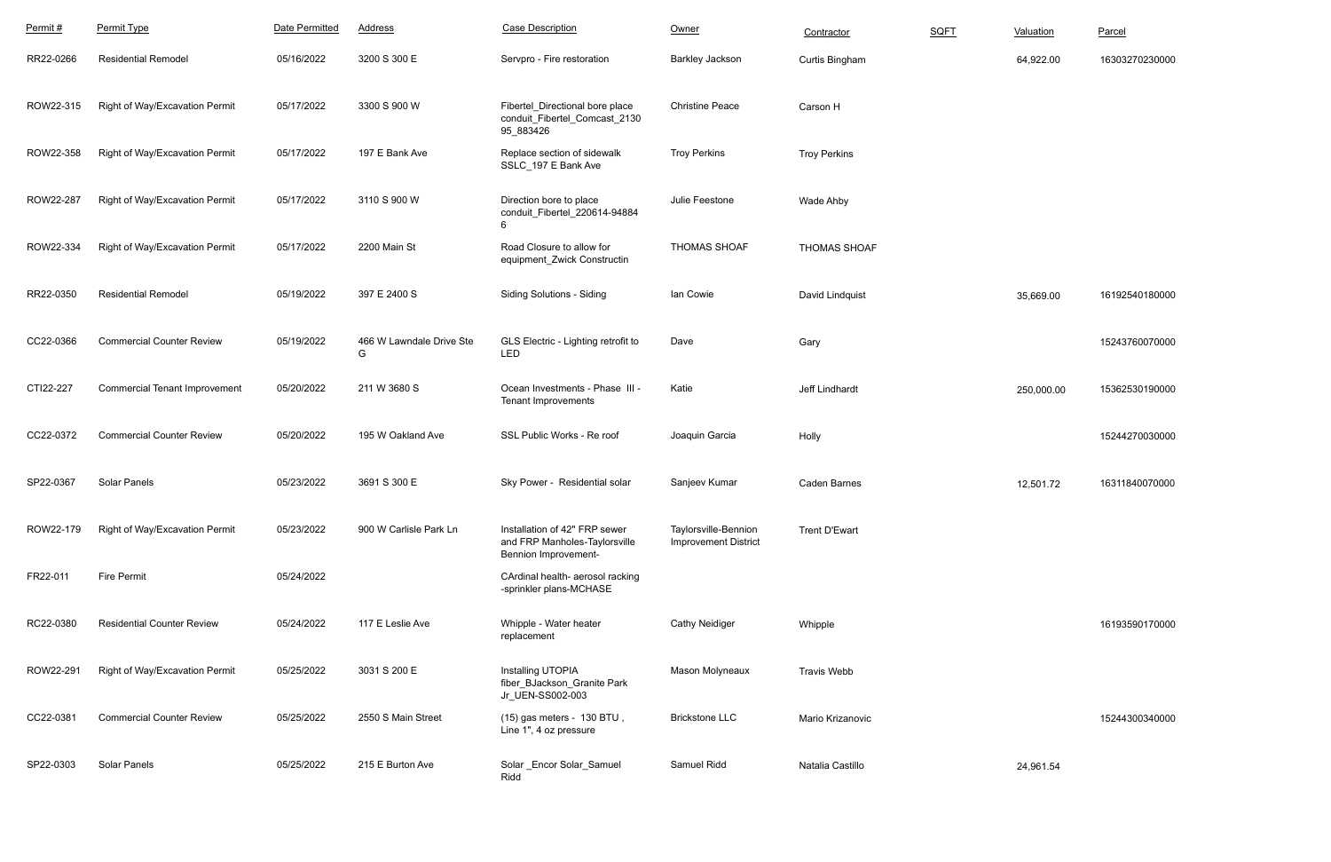| Permit#   | Permit Type                          | Date Permitted | <b>Address</b>                | <b>Case Description</b>                                                                       | Owner                                               | Contractor           | <b>SQFT</b> | Valuation  | Parcel         |
|-----------|--------------------------------------|----------------|-------------------------------|-----------------------------------------------------------------------------------------------|-----------------------------------------------------|----------------------|-------------|------------|----------------|
| RR22-0266 | <b>Residential Remodel</b>           | 05/16/2022     | 3200 S 300 E                  | Servpro - Fire restoration                                                                    | <b>Barkley Jackson</b>                              | Curtis Bingham       |             | 64,922.00  | 16303270230000 |
| ROW22-315 | Right of Way/Excavation Permit       | 05/17/2022     | 3300 S 900 W                  | Fibertel_Directional bore place<br>conduit_Fibertel_Comcast_2130<br>95_883426                 | <b>Christine Peace</b>                              | Carson H             |             |            |                |
| ROW22-358 | Right of Way/Excavation Permit       | 05/17/2022     | 197 E Bank Ave                | Replace section of sidewalk<br>SSLC_197 E Bank Ave                                            | <b>Troy Perkins</b>                                 | <b>Troy Perkins</b>  |             |            |                |
| ROW22-287 | Right of Way/Excavation Permit       | 05/17/2022     | 3110 S 900 W                  | Direction bore to place<br>conduit_Fibertel_220614-94884<br>6                                 | Julie Feestone                                      | Wade Ahby            |             |            |                |
| ROW22-334 | Right of Way/Excavation Permit       | 05/17/2022     | 2200 Main St                  | Road Closure to allow for<br>equipment_Zwick Constructin                                      | <b>THOMAS SHOAF</b>                                 | <b>THOMAS SHOAF</b>  |             |            |                |
| RR22-0350 | <b>Residential Remodel</b>           | 05/19/2022     | 397 E 2400 S                  | <b>Siding Solutions - Siding</b>                                                              | lan Cowie                                           | David Lindquist      |             | 35,669.00  | 16192540180000 |
| CC22-0366 | <b>Commercial Counter Review</b>     | 05/19/2022     | 466 W Lawndale Drive Ste<br>G | GLS Electric - Lighting retrofit to<br>LED                                                    | Dave                                                | Gary                 |             |            | 15243760070000 |
| CTI22-227 | <b>Commercial Tenant Improvement</b> | 05/20/2022     | 211 W 3680 S                  | Ocean Investments - Phase III -<br><b>Tenant Improvements</b>                                 | Katie                                               | Jeff Lindhardt       |             | 250,000.00 | 15362530190000 |
| CC22-0372 | <b>Commercial Counter Review</b>     | 05/20/2022     | 195 W Oakland Ave             | SSL Public Works - Re roof                                                                    | Joaquin Garcia                                      | Holly                |             |            | 15244270030000 |
| SP22-0367 | Solar Panels                         | 05/23/2022     | 3691 S 300 E                  | Sky Power - Residential solar                                                                 | Sanjeev Kumar                                       | <b>Caden Barnes</b>  |             | 12,501.72  | 16311840070000 |
| ROW22-179 | Right of Way/Excavation Permit       | 05/23/2022     | 900 W Carlisle Park Ln        | Installation of 42" FRP sewer<br>and FRP Manholes-Taylorsville<br><b>Bennion Improvement-</b> | Taylorsville-Bennion<br><b>Improvement District</b> | <b>Trent D'Ewart</b> |             |            |                |
| FR22-011  | <b>Fire Permit</b>                   | 05/24/2022     |                               | CArdinal health- aerosol racking<br>-sprinkler plans-MCHASE                                   |                                                     |                      |             |            |                |
| RC22-0380 | <b>Residential Counter Review</b>    | 05/24/2022     | 117 E Leslie Ave              | Whipple - Water heater<br>replacement                                                         | <b>Cathy Neidiger</b>                               | Whipple              |             |            | 16193590170000 |
| ROW22-291 | Right of Way/Excavation Permit       | 05/25/2022     | 3031 S 200 E                  | Installing UTOPIA<br>fiber_BJackson_Granite Park<br>Jr_UEN-SS002-003                          | Mason Molyneaux                                     | <b>Travis Webb</b>   |             |            |                |
| CC22-0381 | <b>Commercial Counter Review</b>     | 05/25/2022     | 2550 S Main Street            | (15) gas meters - 130 BTU,<br>Line 1", 4 oz pressure                                          | <b>Brickstone LLC</b>                               | Mario Krizanovic     |             |            | 15244300340000 |
| SP22-0303 | Solar Panels                         | 05/25/2022     | 215 E Burton Ave              | Solar _Encor Solar_Samuel<br>Ridd                                                             | Samuel Ridd                                         | Natalia Castillo     |             | 24,961.54  |                |